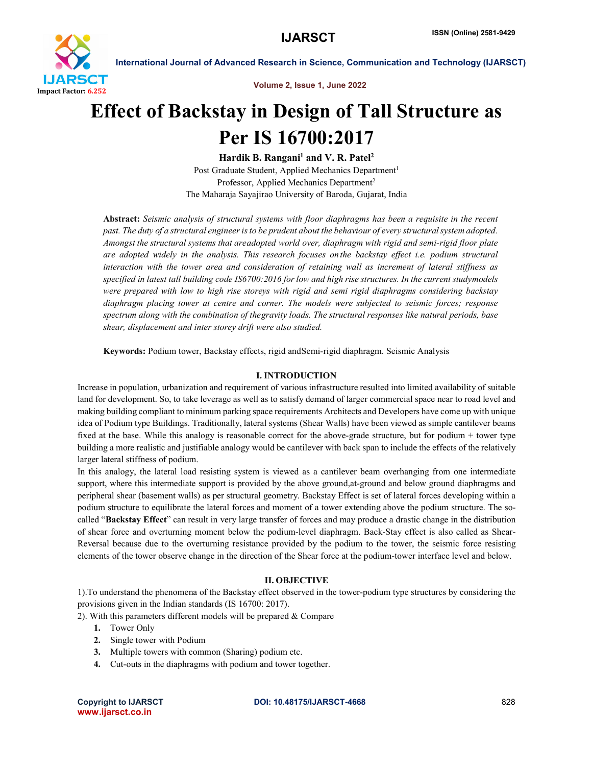

Volume 2, Issue 1, June 2022

# Effect of Backstay in Design of Tall Structure as Per IS 16700:2017

Hardik B. Rangani<sup>1</sup> and V. R. Patel<sup>2</sup> Post Graduate Student, Applied Mechanics Department<sup>1</sup> Professor, Applied Mechanics Department2 The Maharaja Sayajirao University of Baroda, Gujarat, India

Abstract: *Seismic analysis of structural systems with floor diaphragms has been a requisite in the recent past. The duty of a structural engineer is to be prudent about the behaviour of every structuralsystem adopted. Amongst the structural systems that areadopted world over, diaphragm with rigid and semi-rigid floor plate are adopted widely in the analysis. This research focuses on the backstay effect i.e. podium structural interaction with the tower area and consideration of retaining wall as increment of lateral stiffness as* specified in latest tall building code IS6700:2016 for low and high rise structures. In the current studymodels *were prepared with low to high rise storeys with rigid and semi rigid diaphragms considering backstay diaphragm placing tower at centre and corner. The models were subjected to seismic forces; response spectrum along with the combination of thegravity loads. The structural responses like natural periods, base shear, displacement and inter storey drift were also studied.*

Keywords: Podium tower, Backstay effects, rigid andSemi-rigid diaphragm. Seismic Analysis

# I. INTRODUCTION

Increase in population, urbanization and requirement of various infrastructure resulted into limited availability of suitable land for development. So, to take leverage as well as to satisfy demand of larger commercial space near to road level and making building compliant to minimum parking space requirements Architects and Developers have come up with unique idea of Podium type Buildings. Traditionally, lateral systems (Shear Walls) have been viewed as simple cantilever beams fixed at the base. While this analogy is reasonable correct for the above-grade structure, but for podium + tower type building a more realistic and justifiable analogy would be cantilever with back span to include the effects of the relatively larger lateral stiffness of podium.

In this analogy, the lateral load resisting system is viewed as a cantilever beam overhanging from one intermediate support, where this intermediate support is provided by the above ground,at-ground and below ground diaphragms and peripheral shear (basement walls) as per structural geometry. Backstay Effect is set of lateral forces developing within a podium structure to equilibrate the lateral forces and moment of a tower extending above the podium structure. The socalled "Backstay Effect" can result in very large transfer of forces and may produce a drastic change in the distribution of shear force and overturning moment below the podium-level diaphragm. Back-Stay effect is also called as Shear-Reversal because due to the overturning resistance provided by the podium to the tower, the seismic force resisting elements of the tower observe change in the direction of the Shear force at the podium-tower interface level and below.

# II. OBJECTIVE

1).To understand the phenomena of the Backstay effect observed in the tower-podium type structures by considering the provisions given in the Indian standards (IS 16700: 2017).

2). With this parameters different models will be prepared  $&$  Compare

- 1. Tower Only
- 2. Single tower with Podium
- 3. Multiple towers with common (Sharing) podium etc.
- 4. Cut-outs in the diaphragms with podium and tower together.

www.ijarsct.co.in

Copyright to IJARSCT **DOI: 10.48175/IJARSCT-4668** 828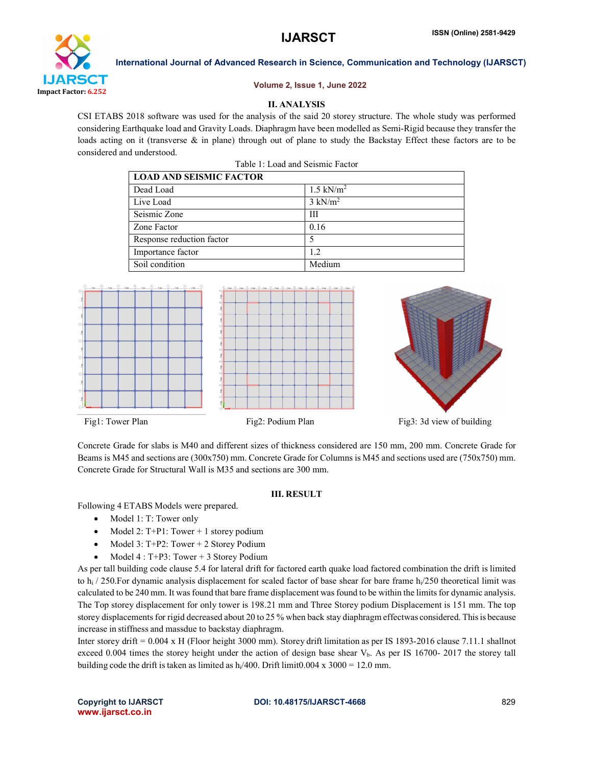

### Volume 2, Issue 1, June 2022

# II. ANALYSIS

CSI ETABS 2018 software was used for the analysis of the said 20 storey structure. The whole study was performed considering Earthquake load and Gravity Loads. Diaphragm have been modelled as Semi-Rigid because they transfer the loads acting on it (transverse & in plane) through out of plane to study the Backstay Effect these factors are to be considered and understood.

| <b>LOAD AND SEISMIC FACTOR</b> |                      |
|--------------------------------|----------------------|
| Dead Load                      | $1.5 \text{ kN/m}^2$ |
| Live Load                      | $3 \text{ kN/m}^2$   |
| Seismic Zone                   | Ш                    |
| Zone Factor                    | 0.16                 |
| Response reduction factor      |                      |
| Importance factor              | 1.2                  |
| Soil condition                 | Medium               |



Concrete Grade for slabs is M40 and different sizes of thickness considered are 150 mm, 200 mm. Concrete Grade for Beams is M45 and sections are (300x750) mm. Concrete Grade for Columns is M45 and sections used are (750x750) mm. Concrete Grade for Structural Wall is M35 and sections are 300 mm.

### III. RESULT

Following 4 ETABS Models were prepared.

- Model 1: T: Tower only
- Model 2: T+P1: Tower + 1 storey podium
- Model 3: T+P2: Tower + 2 Storey Podium
- Model 4 : T+P3: Tower + 3 Storey Podium

As per tall building code clause 5.4 for lateral drift for factored earth quake load factored combination the drift is limited to h<sub>i</sub> / 250. For dynamic analysis displacement for scaled factor of base shear for bare frame h<sub>i</sub>/250 theoretical limit was calculated to be 240 mm. It was found that bare frame displacement was found to be within the limits for dynamic analysis. The Top storey displacement for only tower is 198.21 mm and Three Storey podium Displacement is 151 mm. The top storey displacements for rigid decreased about 20 to 25 % when back stay diaphragm effectwas considered. Thisis because increase in stiffness and massdue to backstay diaphragm.

Inter storey drift = 0.004 x H (Floor height 3000 mm). Storey drift limitation as per IS 1893-2016 clause 7.11.1 shallnot exceed 0.004 times the storey height under the action of design base shear V<sub>b</sub>. As per IS 16700- 2017 the storey tall building code the drift is taken as limited as  $h/400$ . Drift limit $0.004 \times 3000 = 12.0 \text{ mm}$ .

www.ijarsct.co.in

### Copyright to IJARSCT **DOI: 10.48175/IJARSCT-4668** 829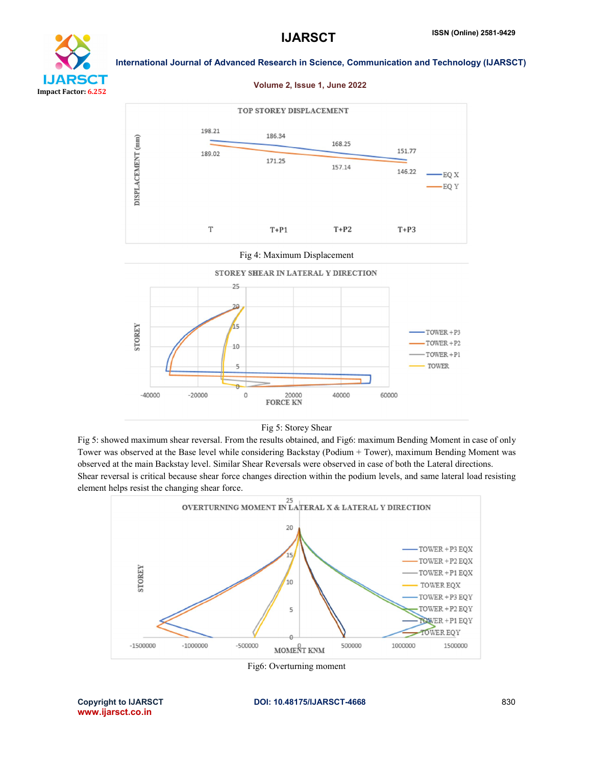











Fig 5: Storey Shear

Fig 5: showed maximum shear reversal. From the results obtained, and Fig6: maximum Bending Moment in case of only Tower was observed at the Base level while considering Backstay (Podium + Tower), maximum Bending Moment was observed at the main Backstay level. Similar Shear Reversals were observed in case of both the Lateral directions. Shear reversal is critical because shear force changes direction within the podium levels, and same lateral load resisting element helps resist the changing shear force.



Fig6: Overturning moment

www.ijarsct.co.in

Copyright to IJARSCT **DOI: 10.48175/IJARSCT-4668** 830